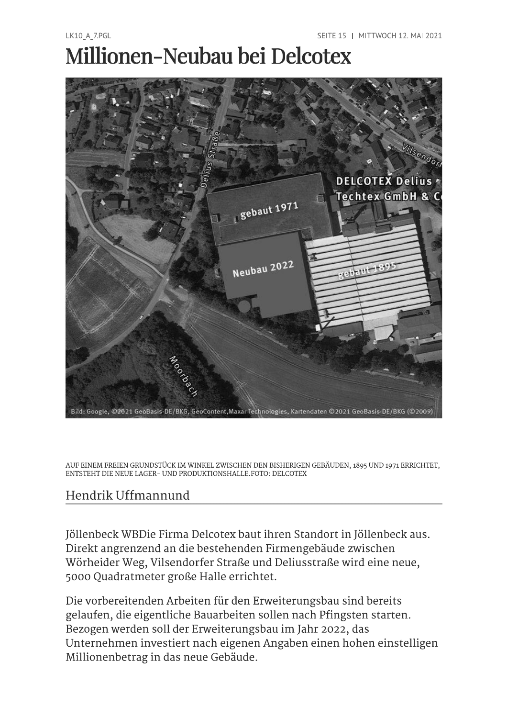## Millionen-Neubau bei Delcotex



AUF EINEM FREIEN GRUNDSTÜCK IM WINKEL ZWISCHEN DEN BISHERIGEN GEBÄUDEN, 1895 UND 1971 ERRICHTET. ENTSTEHT DIE NEUE LAGER- UND PRODUKTIONSHALLE.FOTO: DELCOTEX

## Hendrik Uffmannund

Jöllenbeck WBDie Firma Delcotex baut ihren Standort in Jöllenbeck aus. Direkt angrenzend an die bestehenden Firmengebäude zwischen Wörheider Weg, Vilsendorfer Straße und Deliusstraße wird eine neue, 5000 Quadratmeter große Halle errichtet.

Die vorbereitenden Arbeiten für den Erweiterungsbau sind bereits gelaufen, die eigentliche Bauarbeiten sollen nach Pfingsten starten. Bezogen werden soll der Erweiterungsbau im Jahr 2022, das Unternehmen investiert nach eigenen Angaben einen hohen einstelligen Millionenbetrag in das neue Gebäude.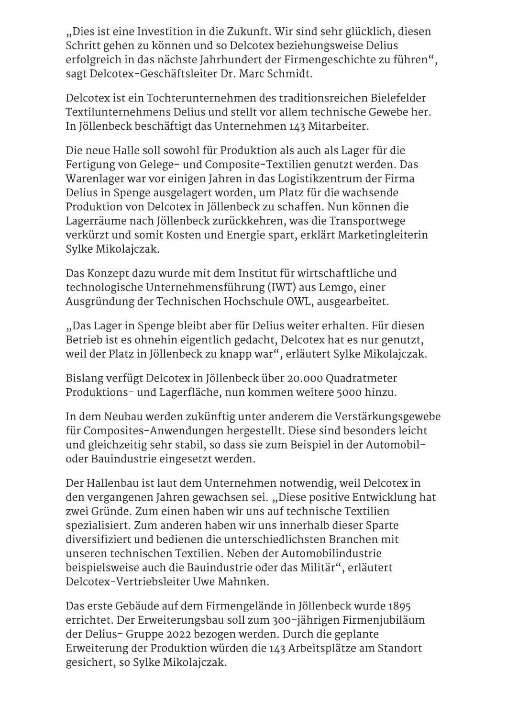"Dies ist eine Investition in die Zukunft. Wir sind sehr glücklich, diesen Schritt gehen zu können und so Delcotex beziehungsweise Delius erfolgreich in das nächste Jahrhundert der Firmengeschichte zu führen", sagt Delcotex-Geschäftsleiter Dr. Marc Schmidt.

Delcotex ist ein Tochterunternehmen des traditionsreichen Bielefelder Textilunternehmens Delius und stellt vor allem technische Gewebe her. In Jöllenbeck beschäftigt das Unternehmen 143 Mitarbeiter.

Die neue Halle soll sowohl für Produktion als auch als Lager für die Fertigung von Gelege- und Composite-Textilien genutzt werden. Das Warenlager war vor einigen Jahren in das Logistikzentrum der Firma Delius in Spenge ausgelagert worden, um Platz für die wachsende Produktion von Delcotex in Jöllenbeck zu schaffen. Nun können die Lagerräume nach Jöllenbeck zurückkehren, was die Transportwege verkürzt und somit Kosten und Energie spart, erklärt Marketingleiterin Sylke Mikolajczak.

Das Konzept dazu wurde mit dem Institut für wirtschaftliche und technologische Unternehmensführung (IWT) aus Lemgo, einer Ausgründung der Technischen Hochschule OWL, ausgearbeitet.

"Das Lager in Spenge bleibt aber für Delius weiter erhalten. Für diesen Betrieb ist es ohnehin eigentlich gedacht, Delcotex hat es nur genutzt, weil der Platz in Jöllenbeck zu knapp war", erläutert Sylke Mikolajczak.

Bislang verfügt Delcotex in Jöllenbeck über 20.000 Ouadratmeter Produktions- und Lagerfläche, nun kommen weitere 5000 hinzu.

In dem Neubau werden zukünftig unter anderem die Verstärkungsgewebe für Composites-Anwendungen hergestellt. Diese sind besonders leicht und gleichzeitig sehr stabil, so dass sie zum Beispiel in der Automobiloder Bauindustrie eingesetzt werden.

Der Hallenbau ist laut dem Unternehmen notwendig, weil Delcotex in den vergangenen Jahren gewachsen sei. "Diese positive Entwicklung hat zwei Gründe. Zum einen haben wir uns auf technische Textilien spezialisiert. Zum anderen haben wir uns innerhalb dieser Sparte diversifiziert und bedienen die unterschiedlichsten Branchen mit unseren technischen Textilien. Neben der Automobilindustrie beispielsweise auch die Bauindustrie oder das Militär", erläutert Delcotex-Vertriebsleiter Uwe Mahnken.

Das erste Gebäude auf dem Firmengelände in Jöllenbeck wurde 1895 errichtet. Der Erweiterungsbau soll zum 300-jährigen Firmenjubiläum der Delius- Gruppe 2022 bezogen werden. Durch die geplante Erweiterung der Produktion würden die 143 Arbeitsplätze am Standort gesichert, so Sylke Mikolajczak.